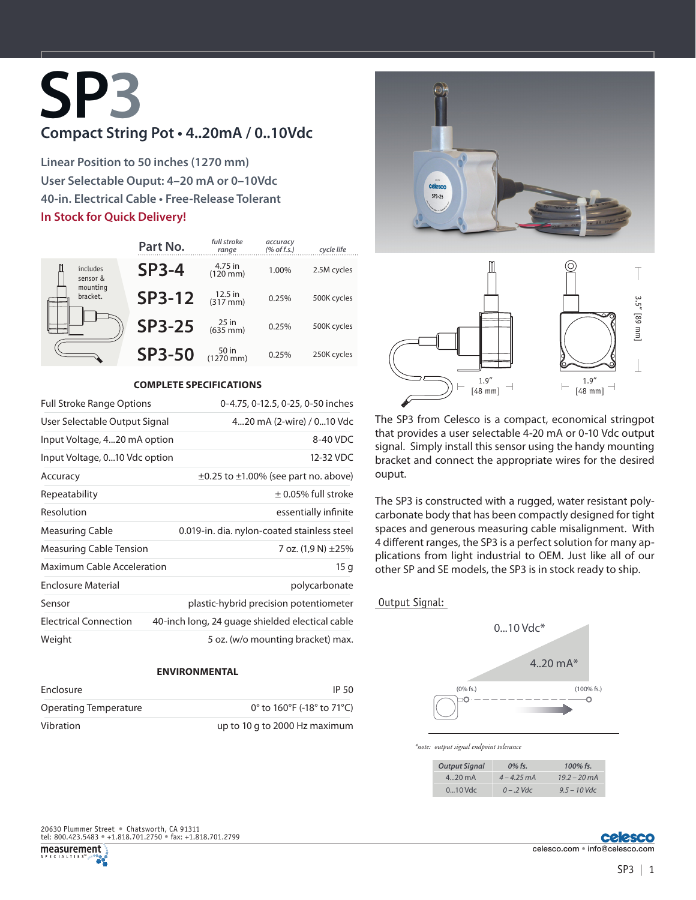# **SP3 Compact String Pot • 4..20mA / 0..10Vdc**

**Linear Position to 50 inches (1270 mm) User Selectable Ouput: 4–20 mA or 0–10Vdc 40-in. Electrical Cable • Free-Release Tolerant In Stock for Quick Delivery!**

|                                              | Part No.      | full stroke<br>range            | accuracy<br>$(%$ of f.s.) | cycle life  |
|----------------------------------------------|---------------|---------------------------------|---------------------------|-------------|
| includes<br>sensor &<br>mounting<br>bracket. | $SP3-4$       | 4.75 in<br>$(120$ mm $)$        | 1.00%                     | 2.5M cycles |
|                                              | <b>SP3-12</b> | $12.5$ in<br>$(317 \text{ mm})$ | 0.25%                     | 500K cycles |
|                                              | <b>SP3-25</b> | $25 \text{ in}$ (635 mm)        | 0.25%                     | 500K cycles |
|                                              | <b>SP3-50</b> | 50 in<br>$(1270 \, \text{mm})$  | 0.25%                     | 250K cycles |

### **COMPLETE SPECIFICATIONS**

| <b>Full Stroke Range Options</b>                 | 0-4.75, 0-12.5, 0-25, 0-50 inches               |  |
|--------------------------------------------------|-------------------------------------------------|--|
| User Selectable Output Signal                    | 420 mA (2-wire) / 010 Vdc                       |  |
| Input Voltage, 420 mA option                     | 8-40 VDC                                        |  |
| Input Voltage, 010 Vdc option                    | 12-32 VDC                                       |  |
| Accuracy                                         | $\pm 0.25$ to $\pm 1.00\%$ (see part no. above) |  |
| Repeatability                                    | $\pm$ 0.05% full stroke                         |  |
| Resolution                                       | essentially infinite                            |  |
| Measuring Cable                                  | 0.019-in. dia. nylon-coated stainless steel     |  |
| <b>Measuring Cable Tension</b>                   | 7 oz. $(1.9 N) \pm 25%$                         |  |
| <b>Maximum Cable Acceleration</b>                | 15q                                             |  |
| <b>Enclosure Material</b>                        | polycarbonate                                   |  |
| Sensor<br>plastic-hybrid precision potentiometer |                                                 |  |
| <b>Electrical Connection</b>                     | 40-inch long, 24 guage shielded electical cable |  |
| Weight                                           | 5 oz. (w/o mounting bracket) max.               |  |

### **ENVIRONMENTAL**

| Enclosure             | IP 50                                                                |  |
|-----------------------|----------------------------------------------------------------------|--|
| Operating Temperature | 0 $^{\circ}$ to 160 $^{\circ}$ F (-18 $^{\circ}$ to 71 $^{\circ}$ C) |  |
| Vibration             | up to 10 g to 2000 Hz maximum                                        |  |





The SP3 from Celesco is a compact, economical stringpot that provides a user selectable 4-20 mA or 0-10 Vdc output signal. Simply install this sensor using the handy mounting bracket and connect the appropriate wires for the desired ouput.

The SP3 is constructed with a rugged, water resistant polycarbonate body that has been compactly designed for tight spaces and generous measuring cable misalignment. With 4 different ranges, the SP3 is a perfect solution for many applications from light industrial to OEM. Just like all of our other SP and SE models, the SP3 is in stock ready to ship.

#### Output Signal:



*\*note: output signal endpoint tolerance*

| <b>Output Signal</b> | $0\%$ fs.     | 100% fs.               |
|----------------------|---------------|------------------------|
| $420$ mA             | $4 - 4.25$ mA | $19.2 - 20 \text{ mA}$ |
| $010$ Vdc            | $0 - 2$ Vdc   | $9.5 - 10$ Vdc         |

tel: 800.423.5483 • +1.818.701.2750 • fax: +1.818.701.2799 20630 Plummer Street • Chatsworth, CA 91311

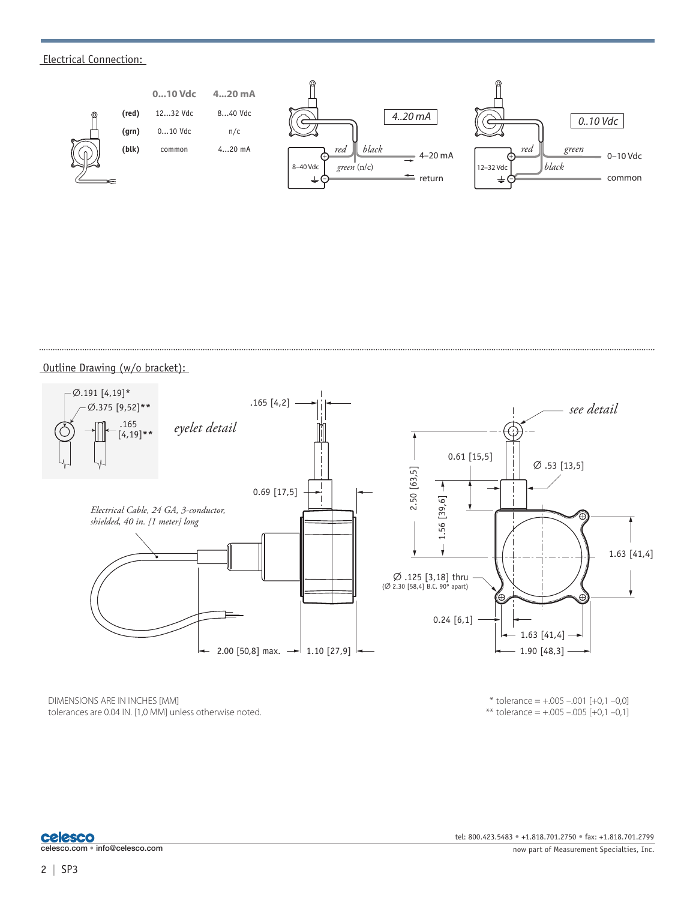## Electrical Connection:



Outline Drawing (w/o bracket):



DIMENSIONS ARE IN INCHES [MM] tolerances are 0.04 IN. [1,0 MM] unless otherwise noted.

 $*$  tolerance =  $+.005-.001$  [+0,1 -0,0] \*\* tolerance =  $+.005 - .005$  [+0,1 -0,1]